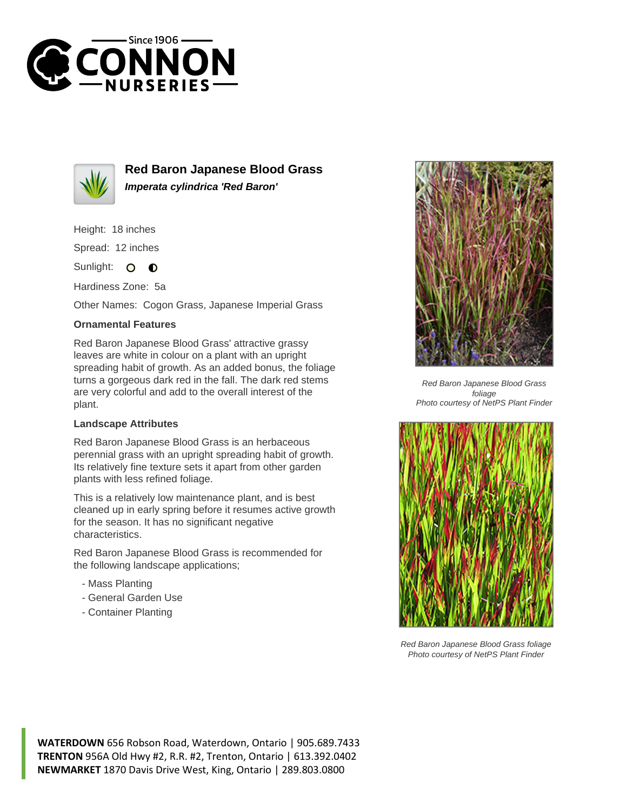



**Red Baron Japanese Blood Grass Imperata cylindrica 'Red Baron'**

Height: 18 inches

Spread: 12 inches

Sunlight:  $\mathbf{O}$  $\bullet$ 

Hardiness Zone: 5a

Other Names: Cogon Grass, Japanese Imperial Grass

## **Ornamental Features**

Red Baron Japanese Blood Grass' attractive grassy leaves are white in colour on a plant with an upright spreading habit of growth. As an added bonus, the foliage turns a gorgeous dark red in the fall. The dark red stems are very colorful and add to the overall interest of the plant.

## **Landscape Attributes**

Red Baron Japanese Blood Grass is an herbaceous perennial grass with an upright spreading habit of growth. Its relatively fine texture sets it apart from other garden plants with less refined foliage.

This is a relatively low maintenance plant, and is best cleaned up in early spring before it resumes active growth for the season. It has no significant negative characteristics.

Red Baron Japanese Blood Grass is recommended for the following landscape applications;

- Mass Planting
- General Garden Use
- Container Planting



Red Baron Japanese Blood Grass foliage Photo courtesy of NetPS Plant Finder



Red Baron Japanese Blood Grass foliage Photo courtesy of NetPS Plant Finder

**WATERDOWN** 656 Robson Road, Waterdown, Ontario | 905.689.7433 **TRENTON** 956A Old Hwy #2, R.R. #2, Trenton, Ontario | 613.392.0402 **NEWMARKET** 1870 Davis Drive West, King, Ontario | 289.803.0800